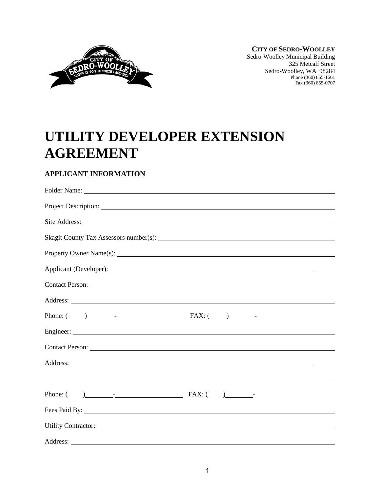

**CITY OF SEDRO-WOOLLEY** Sedro-Woolley Municipal Building 325 Metcalf Street Sedro-Woolley, WA 98284 Phone (360) 855-1661 Fax (360) 855-0707

# **UTILITY DEVELOPER EXTENSION AGREEMENT**

# **APPLICANT INFORMATION**

| Project Description: |
|----------------------|
|                      |
|                      |
|                      |
|                      |
|                      |
|                      |
|                      |
|                      |
|                      |
|                      |
|                      |
|                      |
|                      |
| Utility Contractor:  |
|                      |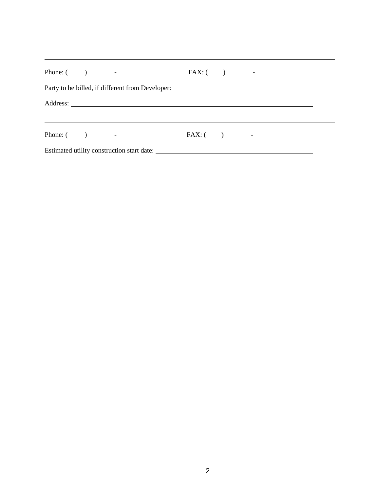| Party to be billed, if different from Developer: ________________________________ |  |  |
|-----------------------------------------------------------------------------------|--|--|
|                                                                                   |  |  |
|                                                                                   |  |  |
|                                                                                   |  |  |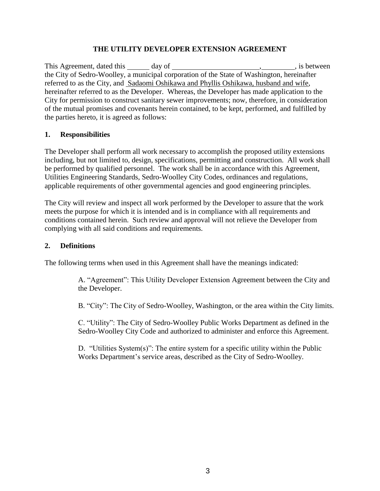#### **THE UTILITY DEVELOPER EXTENSION AGREEMENT**

This Agreement, dated this day of , is between the City of Sedro-Woolley, a municipal corporation of the State of Washington, hereinafter referred to as the City, and Sadaomi Oshikawa and Phyllis Oshikawa, husband and wife, hereinafter referred to as the Developer. Whereas, the Developer has made application to the City for permission to construct sanitary sewer improvements; now, therefore, in consideration of the mutual promises and covenants herein contained, to be kept, performed, and fulfilled by the parties hereto, it is agreed as follows:

#### **1. Responsibilities**

The Developer shall perform all work necessary to accomplish the proposed utility extensions including, but not limited to, design, specifications, permitting and construction. All work shall be performed by qualified personnel. The work shall be in accordance with this Agreement, Utilities Engineering Standards, Sedro-Woolley City Codes, ordinances and regulations, applicable requirements of other governmental agencies and good engineering principles.

The City will review and inspect all work performed by the Developer to assure that the work meets the purpose for which it is intended and is in compliance with all requirements and conditions contained herein. Such review and approval will not relieve the Developer from complying with all said conditions and requirements.

#### **2. Definitions**

The following terms when used in this Agreement shall have the meanings indicated:

A. "Agreement": This Utility Developer Extension Agreement between the City and the Developer.

B. "City": The City of Sedro-Woolley, Washington, or the area within the City limits.

C. "Utility": The City of Sedro-Woolley Public Works Department as defined in the Sedro-Woolley City Code and authorized to administer and enforce this Agreement.

D. "Utilities System(s)": The entire system for a specific utility within the Public Works Department's service areas, described as the City of Sedro-Woolley.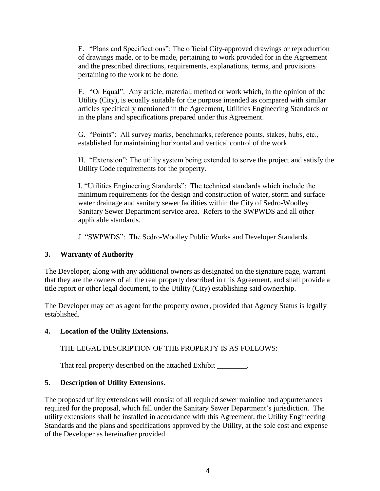E. "Plans and Specifications": The official City-approved drawings or reproduction of drawings made, or to be made, pertaining to work provided for in the Agreement and the prescribed directions, requirements, explanations, terms, and provisions pertaining to the work to be done.

F. "Or Equal": Any article, material, method or work which, in the opinion of the Utility (City), is equally suitable for the purpose intended as compared with similar articles specifically mentioned in the Agreement, Utilities Engineering Standards or in the plans and specifications prepared under this Agreement.

G. "Points": All survey marks, benchmarks, reference points, stakes, hubs, etc., established for maintaining horizontal and vertical control of the work.

H. "Extension": The utility system being extended to serve the project and satisfy the Utility Code requirements for the property.

I. "Utilities Engineering Standards": The technical standards which include the minimum requirements for the design and construction of water, storm and surface water drainage and sanitary sewer facilities within the City of Sedro-Woolley Sanitary Sewer Department service area. Refers to the SWPWDS and all other applicable standards.

J. "SWPWDS": The Sedro-Woolley Public Works and Developer Standards.

# **3. Warranty of Authority**

The Developer, along with any additional owners as designated on the signature page, warrant that they are the owners of all the real property described in this Agreement, and shall provide a title report or other legal document, to the Utility (City) establishing said ownership.

The Developer may act as agent for the property owner, provided that Agency Status is legally established.

#### **4. Location of the Utility Extensions.**

THE LEGAL DESCRIPTION OF THE PROPERTY IS AS FOLLOWS:

That real property described on the attached Exhibit

# **5. Description of Utility Extensions.**

The proposed utility extensions will consist of all required sewer mainline and appurtenances required for the proposal, which fall under the Sanitary Sewer Department's jurisdiction. The utility extensions shall be installed in accordance with this Agreement, the Utility Engineering Standards and the plans and specifications approved by the Utility, at the sole cost and expense of the Developer as hereinafter provided.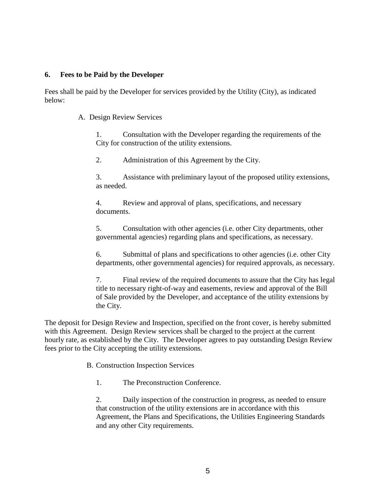#### **6. Fees to be Paid by the Developer**

Fees shall be paid by the Developer for services provided by the Utility (City), as indicated below:

A. Design Review Services

1. Consultation with the Developer regarding the requirements of the City for construction of the utility extensions.

2. Administration of this Agreement by the City.

3. Assistance with preliminary layout of the proposed utility extensions, as needed.

4. Review and approval of plans, specifications, and necessary documents.

5. Consultation with other agencies (i.e. other City departments, other governmental agencies) regarding plans and specifications, as necessary.

6. Submittal of plans and specifications to other agencies (i.e. other City departments, other governmental agencies) for required approvals, as necessary.

7. Final review of the required documents to assure that the City has legal title to necessary right-of-way and easements, review and approval of the Bill of Sale provided by the Developer, and acceptance of the utility extensions by the City.

The deposit for Design Review and Inspection, specified on the front cover, is hereby submitted with this Agreement. Design Review services shall be charged to the project at the current hourly rate, as established by the City. The Developer agrees to pay outstanding Design Review fees prior to the City accepting the utility extensions.

B. Construction Inspection Services

1. The Preconstruction Conference.

2. Daily inspection of the construction in progress, as needed to ensure that construction of the utility extensions are in accordance with this Agreement, the Plans and Specifications, the Utilities Engineering Standards and any other City requirements.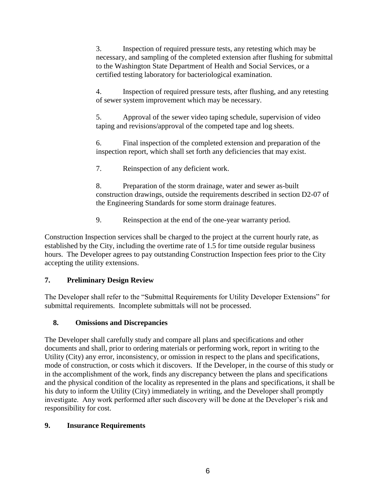3. Inspection of required pressure tests, any retesting which may be necessary, and sampling of the completed extension after flushing for submittal to the Washington State Department of Health and Social Services, or a certified testing laboratory for bacteriological examination.

4. Inspection of required pressure tests, after flushing, and any retesting of sewer system improvement which may be necessary.

5. Approval of the sewer video taping schedule, supervision of video taping and revisions/approval of the competed tape and log sheets.

6. Final inspection of the completed extension and preparation of the inspection report, which shall set forth any deficiencies that may exist.

7. Reinspection of any deficient work.

8. Preparation of the storm drainage, water and sewer as-built construction drawings, outside the requirements described in section D2-07 of the Engineering Standards for some storm drainage features.

9. Reinspection at the end of the one-year warranty period.

Construction Inspection services shall be charged to the project at the current hourly rate, as established by the City, including the overtime rate of 1.5 for time outside regular business hours. The Developer agrees to pay outstanding Construction Inspection fees prior to the City accepting the utility extensions.

# **7. Preliminary Design Review**

The Developer shall refer to the "Submittal Requirements for Utility Developer Extensions" for submittal requirements. Incomplete submittals will not be processed.

# **8. Omissions and Discrepancies**

The Developer shall carefully study and compare all plans and specifications and other documents and shall, prior to ordering materials or performing work, report in writing to the Utility (City) any error, inconsistency, or omission in respect to the plans and specifications, mode of construction, or costs which it discovers. If the Developer, in the course of this study or in the accomplishment of the work, finds any discrepancy between the plans and specifications and the physical condition of the locality as represented in the plans and specifications, it shall be his duty to inform the Utility (City) immediately in writing, and the Developer shall promptly investigate. Any work performed after such discovery will be done at the Developer's risk and responsibility for cost.

#### **9. Insurance Requirements**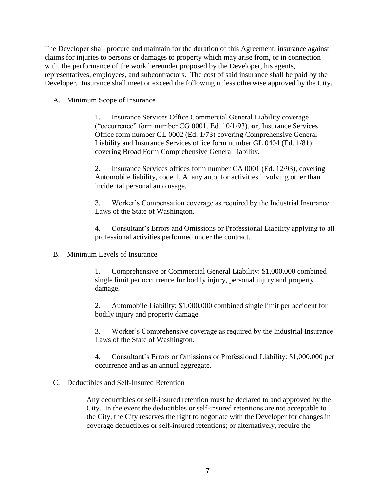The Developer shall procure and maintain for the duration of this Agreement, insurance against claims for injuries to persons or damages to property which may arise from, or in connection with, the performance of the work hereunder proposed by the Developer, his agents, representatives, employees, and subcontractors. The cost of said insurance shall be paid by the Developer. Insurance shall meet or exceed the following unless otherwise approved by the City.

A. Minimum Scope of Insurance

1. Insurance Services Office Commercial General Liability coverage ("occurrence" form number CG 0001, Ed. 10/1/93), **or**, Insurance Services Office form number GL 0002 (Ed. 1/73) covering Comprehensive General Liability and Insurance Services office form number GL 0404 (Ed. 1/81) covering Broad Form Comprehensive General liability.

2. Insurance Services offices form number CA 0001 (Ed. 12/93), covering Automobile liability, code 1, A any auto, for activities involving other than incidental personal auto usage.

3. Worker's Compensation coverage as required by the Industrial Insurance Laws of the State of Washington.

4. Consultant's Errors and Omissions or Professional Liability applying to all professional activities performed under the contract.

B. Minimum Levels of Insurance

1. Comprehensive or Commercial General Liability: \$1,000,000 combined single limit per occurrence for bodily injury, personal injury and property damage.

2. Automobile Liability: \$1,000,000 combined single limit per accident for bodily injury and property damage.

3. Worker's Comprehensive coverage as required by the Industrial Insurance Laws of the State of Washington.

4. Consultant's Errors or Omissions or Professional Liability: \$1,000,000 per occurrence and as an annual aggregate.

#### C. Deductibles and Self-Insured Retention

Any deductibles or self-insured retention must be declared to and approved by the City. In the event the deductibles or self-insured retentions are not acceptable to the City, the City reserves the right to negotiate with the Developer for changes in coverage deductibles or self-insured retentions; or alternatively, require the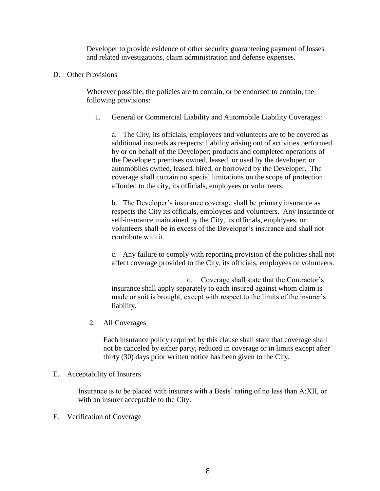Developer to provide evidence of other security guaranteeing payment of losses and related investigations, claim administration and defense expenses.

D. Other Provisions

Wherever possible, the policies are to contain, or be endorsed to contain, the following provisions:

1. General or Commercial Liability and Automobile Liability Coverages:

a. The City, its officials, employees and volunteers are to be covered as additional insureds as respects: liability arising out of activities performed by or on behalf of the Developer; products and completed operations of the Developer; premises owned, leased, or used by the developer; or automobiles owned, leased, hired, or borrowed by the Developer. The coverage shall contain no special limitations on the scope of protection afforded to the city, its officials, employees or volunteers.

b. The Developer's insurance coverage shall be primary insurance as respects the City its officials, employees and volunteers. Any insurance or self-insurance maintained by the City, its officials, employees, or volunteers shall be in excess of the Developer's insurance and shall not contribute with it.

c. Any failure to comply with reporting provision of the policies shall not affect coverage provided to the City, its officials, employees or volunteers.

d. Coverage shall state that the Contractor's insurance shall apply separately to each insured against whom claim is made or suit is brought, except with respect to the limits of the insurer's liability.

2. All Coverages

Each insurance policy required by this clause shall state that coverage shall not be canceled by either party, reduced in coverage or in limits except after thirty (30) days prior written notice has been given to the City.

#### E. Acceptability of Insurers

Insurance is to be placed with insurers with a Bests' rating of no less than A:XII, or with an insurer acceptable to the City.

F. Verification of Coverage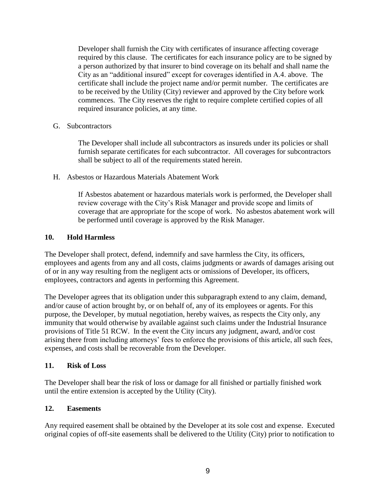Developer shall furnish the City with certificates of insurance affecting coverage required by this clause. The certificates for each insurance policy are to be signed by a person authorized by that insurer to bind coverage on its behalf and shall name the City as an "additional insured" except for coverages identified in A.4. above. The certificate shall include the project name and/or permit number. The certificates are to be received by the Utility (City) reviewer and approved by the City before work commences. The City reserves the right to require complete certified copies of all required insurance policies, at any time.

#### G. Subcontractors

The Developer shall include all subcontractors as insureds under its policies or shall furnish separate certificates for each subcontractor. All coverages for subcontractors shall be subject to all of the requirements stated herein.

#### H. Asbestos or Hazardous Materials Abatement Work

If Asbestos abatement or hazardous materials work is performed, the Developer shall review coverage with the City's Risk Manager and provide scope and limits of coverage that are appropriate for the scope of work. No asbestos abatement work will be performed until coverage is approved by the Risk Manager.

#### **10. Hold Harmless**

The Developer shall protect, defend, indemnify and save harmless the City, its officers, employees and agents from any and all costs, claims judgments or awards of damages arising out of or in any way resulting from the negligent acts or omissions of Developer, its officers, employees, contractors and agents in performing this Agreement.

The Developer agrees that its obligation under this subparagraph extend to any claim, demand, and/or cause of action brought by, or on behalf of, any of its employees or agents. For this purpose, the Developer, by mutual negotiation, hereby waives, as respects the City only, any immunity that would otherwise by available against such claims under the Industrial Insurance provisions of Title 51 RCW. In the event the City incurs any judgment, award, and/or cost arising there from including attorneys' fees to enforce the provisions of this article, all such fees, expenses, and costs shall be recoverable from the Developer.

#### **11. Risk of Loss**

The Developer shall bear the risk of loss or damage for all finished or partially finished work until the entire extension is accepted by the Utility (City).

#### **12. Easements**

Any required easement shall be obtained by the Developer at its sole cost and expense. Executed original copies of off-site easements shall be delivered to the Utility (City) prior to notification to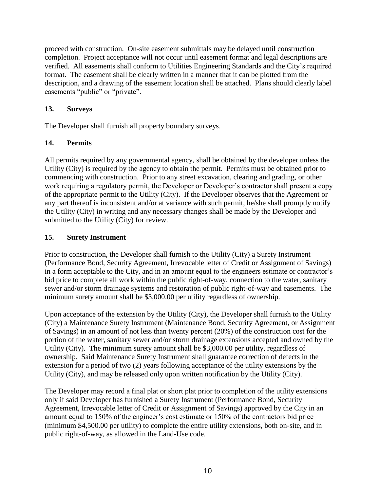proceed with construction. On-site easement submittals may be delayed until construction completion. Project acceptance will not occur until easement format and legal descriptions are verified. All easements shall conform to Utilities Engineering Standards and the City's required format. The easement shall be clearly written in a manner that it can be plotted from the description, and a drawing of the easement location shall be attached. Plans should clearly label easements "public" or "private".

#### **13. Surveys**

The Developer shall furnish all property boundary surveys.

# **14. Permits**

All permits required by any governmental agency, shall be obtained by the developer unless the Utility (City) is required by the agency to obtain the permit. Permits must be obtained prior to commencing with construction. Prior to any street excavation, clearing and grading, or other work requiring a regulatory permit, the Developer or Developer's contractor shall present a copy of the appropriate permit to the Utility (City). If the Developer observes that the Agreement or any part thereof is inconsistent and/or at variance with such permit, he/she shall promptly notify the Utility (City) in writing and any necessary changes shall be made by the Developer and submitted to the Utility (City) for review.

## **15. Surety Instrument**

Prior to construction, the Developer shall furnish to the Utility (City) a Surety Instrument (Performance Bond, Security Agreement, Irrevocable letter of Credit or Assignment of Savings) in a form acceptable to the City, and in an amount equal to the engineers estimate or contractor's bid price to complete all work within the public right-of-way, connection to the water, sanitary sewer and/or storm drainage systems and restoration of public right-of-way and easements. The minimum surety amount shall be \$3,000.00 per utility regardless of ownership.

Upon acceptance of the extension by the Utility (City), the Developer shall furnish to the Utility (City) a Maintenance Surety Instrument (Maintenance Bond, Security Agreement, or Assignment of Savings) in an amount of not less than twenty percent (20%) of the construction cost for the portion of the water, sanitary sewer and/or storm drainage extensions accepted and owned by the Utility (City). The minimum surety amount shall be \$3,000.00 per utility, regardless of ownership. Said Maintenance Surety Instrument shall guarantee correction of defects in the extension for a period of two (2) years following acceptance of the utility extensions by the Utility (City), and may be released only upon written notification by the Utility (City).

The Developer may record a final plat or short plat prior to completion of the utility extensions only if said Developer has furnished a Surety Instrument (Performance Bond, Security Agreement, Irrevocable letter of Credit or Assignment of Savings) approved by the City in an amount equal to 150% of the engineer's cost estimate or 150% of the contractors bid price (minimum \$4,500.00 per utility) to complete the entire utility extensions, both on-site, and in public right-of-way, as allowed in the Land-Use code.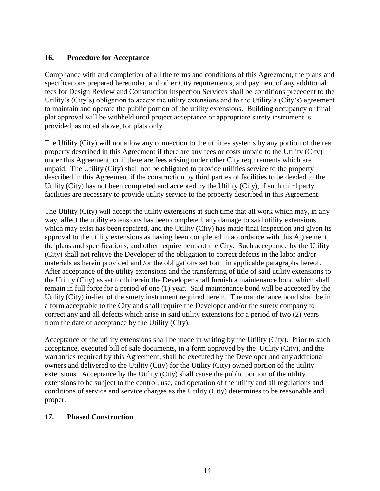#### **16. Procedure for Acceptance**

Compliance with and completion of all the terms and conditions of this Agreement, the plans and specifications prepared hereunder, and other City requirements, and payment of any additional fees for Design Review and Construction Inspection Services shall be conditions precedent to the Utility's (City's) obligation to accept the utility extensions and to the Utility's (City's) agreement to maintain and operate the public portion of the utility extensions. Building occupancy or final plat approval will be withheld until project acceptance or appropriate surety instrument is provided, as noted above, for plats only.

The Utility (City) will not allow any connection to the utilities systems by any portion of the real property described in this Agreement if there are any fees or costs unpaid to the Utility (City) under this Agreement, or if there are fees arising under other City requirements which are unpaid. The Utility (City) shall not be obligated to provide utilities service to the property described in this Agreement if the construction by third parties of facilities to be deeded to the Utility (City) has not been completed and accepted by the Utility (City), if such third party facilities are necessary to provide utility service to the property described in this Agreement.

The Utility (City) will accept the utility extensions at such time that all work which may, in any way, affect the utility extensions has been completed, any damage to said utility extensions which may exist has been repaired, and the Utility (City) has made final inspection and given its approval to the utility extensions as having been completed in accordance with this Agreement, the plans and specifications, and other requirements of the City. Such acceptance by the Utility (City) shall not relieve the Developer of the obligation to correct defects in the labor and/or materials as herein provided and /or the obligations set forth in applicable paragraphs hereof. After acceptance of the utility extensions and the transferring of title of said utility extensions to the Utility (City) as set forth herein the Developer shall furnish a maintenance bond which shall remain in full force for a period of one (1) year. Said maintenance bond will be accepted by the Utility (City) in-lieu of the surety instrument required herein. The maintenance bond shall be in a form acceptable to the City and shall require the Developer and/or the surety company to correct any and all defects which arise in said utility extensions for a period of two (2) years from the date of acceptance by the Utility (City).

Acceptance of the utility extensions shall be made in writing by the Utility (City). Prior to such acceptance, executed bill of sale documents, in a form approved by the Utility (City), and the warranties required by this Agreement, shall be executed by the Developer and any additional owners and delivered to the Utility (City) for the Utility (City) owned portion of the utility extensions. Acceptance by the Utility (City) shall cause the public portion of the utility extensions to be subject to the control, use, and operation of the utility and all regulations and conditions of service and service charges as the Utility (City) determines to be reasonable and proper.

#### **17. Phased Construction**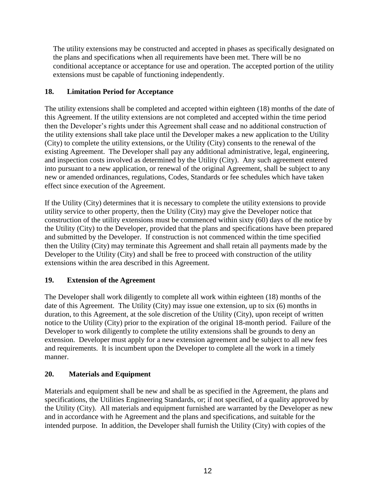The utility extensions may be constructed and accepted in phases as specifically designated on the plans and specifications when all requirements have been met. There will be no conditional acceptance or acceptance for use and operation. The accepted portion of the utility extensions must be capable of functioning independently.

# **18. Limitation Period for Acceptance**

The utility extensions shall be completed and accepted within eighteen (18) months of the date of this Agreement. If the utility extensions are not completed and accepted within the time period then the Developer's rights under this Agreement shall cease and no additional construction of the utility extensions shall take place until the Developer makes a new application to the Utility (City) to complete the utility extensions, or the Utility (City) consents to the renewal of the existing Agreement. The Developer shall pay any additional administrative, legal, engineering, and inspection costs involved as determined by the Utility (City). Any such agreement entered into pursuant to a new application, or renewal of the original Agreement, shall be subject to any new or amended ordinances, regulations, Codes, Standards or fee schedules which have taken effect since execution of the Agreement.

If the Utility (City) determines that it is necessary to complete the utility extensions to provide utility service to other property, then the Utility (City) may give the Developer notice that construction of the utility extensions must be commenced within sixty (60) days of the notice by the Utility (City) to the Developer, provided that the plans and specifications have been prepared and submitted by the Developer. If construction is not commenced within the time specified then the Utility (City) may terminate this Agreement and shall retain all payments made by the Developer to the Utility (City) and shall be free to proceed with construction of the utility extensions within the area described in this Agreement.

# **19. Extension of the Agreement**

The Developer shall work diligently to complete all work within eighteen (18) months of the date of this Agreement. The Utility (City) may issue one extension, up to six (6) months in duration, to this Agreement, at the sole discretion of the Utility (City), upon receipt of written notice to the Utility (City) prior to the expiration of the original 18-month period. Failure of the Developer to work diligently to complete the utility extensions shall be grounds to deny an extension. Developer must apply for a new extension agreement and be subject to all new fees and requirements. It is incumbent upon the Developer to complete all the work in a timely manner.

# **20. Materials and Equipment**

Materials and equipment shall be new and shall be as specified in the Agreement, the plans and specifications, the Utilities Engineering Standards, or; if not specified, of a quality approved by the Utility (City). All materials and equipment furnished are warranted by the Developer as new and in accordance with he Agreement and the plans and specifications, and suitable for the intended purpose. In addition, the Developer shall furnish the Utility (City) with copies of the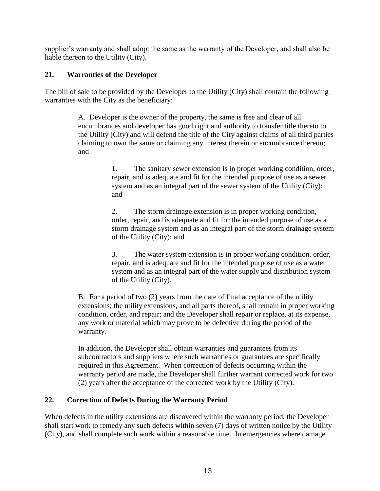supplier's warranty and shall adopt the same as the warranty of the Developer, and shall also be liable thereon to the Utility (City).

# **21. Warranties of the Developer**

The bill of sale to be provided by the Developer to the Utility (City) shall contain the following warranties with the City as the beneficiary:

> A. Developer is the owner of the property, the same is free and clear of all encumbrances and developer has good right and authority to transfer title thereto to the Utility (City) and will defend the title of the City against claims of all third parties claiming to own the same or claiming any interest therein or encumbrance thereon; and

> > 1. The sanitary sewer extension is in proper working condition, order, repair, and is adequate and fit for the intended purpose of use as a sewer system and as an integral part of the sewer system of the Utility (City); and

> > 2. The storm drainage extension is in proper working condition, order, repair, and is adequate and fit for the intended purpose of use as a storm drainage system and as an integral part of the storm drainage system of the Utility (City); and

3. The water system extension is in proper working condition, order, repair, and is adequate and fit for the intended purpose of use as a water system and as an integral part of the water supply and distribution system of the Utility (City).

B. For a period of two (2) years from the date of final acceptance of the utility extensions; the utility extensions, and all parts thereof, shall remain in proper working condition, order, and repair; and the Developer shall repair or replace, at its expense, any work or material which may prove to be defective during the period of the warranty.

In addition, the Developer shall obtain warranties and guarantees from its subcontractors and suppliers where such warranties or guarantees are specifically required in this Agreement. When correction of defects occurring within the warranty period are made, the Developer shall further warrant corrected work for two (2) years after the acceptance of the corrected work by the Utility (City).

# **22. Correction of Defects During the Warranty Period**

When defects in the utility extensions are discovered within the warranty period, the Developer shall start work to remedy any such defects within seven (7) days of written notice by the Utility (City), and shall complete such work within a reasonable time. In emergencies where damage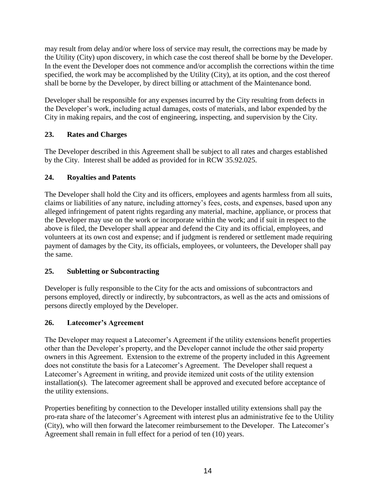may result from delay and/or where loss of service may result, the corrections may be made by the Utility (City) upon discovery, in which case the cost thereof shall be borne by the Developer. In the event the Developer does not commence and/or accomplish the corrections within the time specified, the work may be accomplished by the Utility (City), at its option, and the cost thereof shall be borne by the Developer, by direct billing or attachment of the Maintenance bond.

Developer shall be responsible for any expenses incurred by the City resulting from defects in the Developer's work, including actual damages, costs of materials, and labor expended by the City in making repairs, and the cost of engineering, inspecting, and supervision by the City.

# **23. Rates and Charges**

The Developer described in this Agreement shall be subject to all rates and charges established by the City. Interest shall be added as provided for in RCW 35.92.025.

# **24. Royalties and Patents**

The Developer shall hold the City and its officers, employees and agents harmless from all suits, claims or liabilities of any nature, including attorney's fees, costs, and expenses, based upon any alleged infringement of patent rights regarding any material, machine, appliance, or process that the Developer may use on the work or incorporate within the work; and if suit in respect to the above is filed, the Developer shall appear and defend the City and its official, employees, and volunteers at its own cost and expense; and if judgment is rendered or settlement made requiring payment of damages by the City, its officials, employees, or volunteers, the Developer shall pay the same.

# **25. Subletting or Subcontracting**

Developer is fully responsible to the City for the acts and omissions of subcontractors and persons employed, directly or indirectly, by subcontractors, as well as the acts and omissions of persons directly employed by the Developer.

# **26. Latecomer's Agreement**

The Developer may request a Latecomer's Agreement if the utility extensions benefit properties other than the Developer's property, and the Developer cannot include the other said property owners in this Agreement. Extension to the extreme of the property included in this Agreement does not constitute the basis for a Latecomer's Agreement. The Developer shall request a Latecomer's Agreement in writing, and provide itemized unit costs of the utility extension installation(s). The latecomer agreement shall be approved and executed before acceptance of the utility extensions.

Properties benefiting by connection to the Developer installed utility extensions shall pay the pro-rata share of the latecomer's Agreement with interest plus an administrative fee to the Utility (City), who will then forward the latecomer reimbursement to the Developer. The Latecomer's Agreement shall remain in full effect for a period of ten (10) years.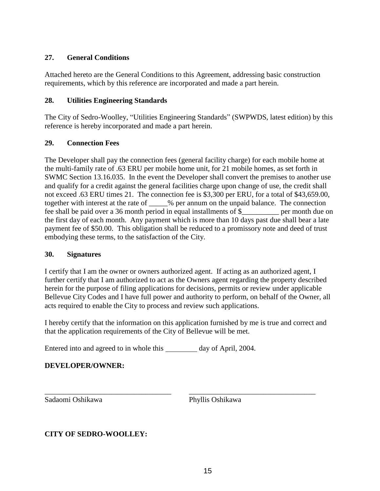#### **27. General Conditions**

Attached hereto are the General Conditions to this Agreement, addressing basic construction requirements, which by this reference are incorporated and made a part herein.

#### **28. Utilities Engineering Standards**

The City of Sedro-Woolley, "Utilities Engineering Standards" (SWPWDS, latest edition) by this reference is hereby incorporated and made a part herein.

# **29. Connection Fees**

The Developer shall pay the connection fees (general facility charge) for each mobile home at the multi-family rate of .63 ERU per mobile home unit, for 21 mobile homes, as set forth in SWMC Section 13.16.035. In the event the Developer shall convert the premises to another use and qualify for a credit against the general facilities charge upon change of use, the credit shall not exceed .63 ERU times 21. The connection fee is \$3,300 per ERU, for a total of \$43,659.00, together with interest at the rate of \_\_\_\_\_% per annum on the unpaid balance. The connection fee shall be paid over a 36 month period in equal installments of \$\_\_\_\_\_\_\_\_\_\_ per month due on the first day of each month. Any payment which is more than 10 days past due shall bear a late payment fee of \$50.00. This obligation shall be reduced to a promissory note and deed of trust embodying these terms, to the satisfaction of the City.

#### **30. Signatures**

I certify that I am the owner or owners authorized agent. If acting as an authorized agent, I further certify that I am authorized to act as the Owners agent regarding the property described herein for the purpose of filing applications for decisions, permits or review under applicable Bellevue City Codes and I have full power and authority to perform, on behalf of the Owner, all acts required to enable the City to process and review such applications.

I hereby certify that the information on this application furnished by me is true and correct and that the application requirements of the City of Bellevue will be met.

\_\_\_\_\_\_\_\_\_\_\_\_\_\_\_\_\_\_\_\_\_\_\_\_\_\_\_\_\_\_\_\_\_\_ \_\_\_\_\_\_\_\_\_\_\_\_\_\_\_\_\_\_\_\_\_\_\_\_\_\_\_\_\_\_\_\_\_\_

Entered into and agreed to in whole this day of April, 2004.

# **DEVELOPER/OWNER:**

Sadaomi Oshikawa Phyllis Oshikawa

**CITY OF SEDRO-WOOLLEY:**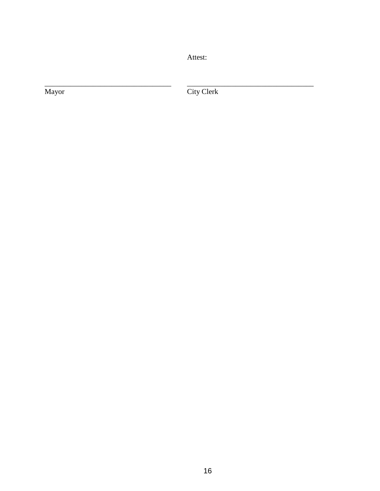Attest:

Mayor

City Clerk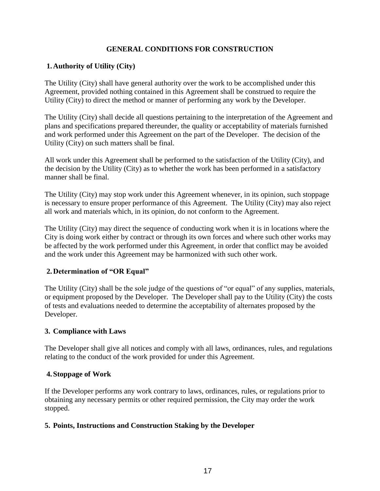## **GENERAL CONDITIONS FOR CONSTRUCTION**

# **1.Authority of Utility (City)**

The Utility (City) shall have general authority over the work to be accomplished under this Agreement, provided nothing contained in this Agreement shall be construed to require the Utility (City) to direct the method or manner of performing any work by the Developer.

The Utility (City) shall decide all questions pertaining to the interpretation of the Agreement and plans and specifications prepared thereunder, the quality or acceptability of materials furnished and work performed under this Agreement on the part of the Developer. The decision of the Utility (City) on such matters shall be final.

All work under this Agreement shall be performed to the satisfaction of the Utility (City), and the decision by the Utility (City) as to whether the work has been performed in a satisfactory manner shall be final.

The Utility (City) may stop work under this Agreement whenever, in its opinion, such stoppage is necessary to ensure proper performance of this Agreement. The Utility (City) may also reject all work and materials which, in its opinion, do not conform to the Agreement.

The Utility (City) may direct the sequence of conducting work when it is in locations where the City is doing work either by contract or through its own forces and where such other works may be affected by the work performed under this Agreement, in order that conflict may be avoided and the work under this Agreement may be harmonized with such other work.

#### **2.Determination of "OR Equal"**

The Utility (City) shall be the sole judge of the questions of "or equal" of any supplies, materials, or equipment proposed by the Developer. The Developer shall pay to the Utility (City) the costs of tests and evaluations needed to determine the acceptability of alternates proposed by the Developer.

#### **3. Compliance with Laws**

The Developer shall give all notices and comply with all laws, ordinances, rules, and regulations relating to the conduct of the work provided for under this Agreement.

#### **4.Stoppage of Work**

If the Developer performs any work contrary to laws, ordinances, rules, or regulations prior to obtaining any necessary permits or other required permission, the City may order the work stopped.

#### **5. Points, Instructions and Construction Staking by the Developer**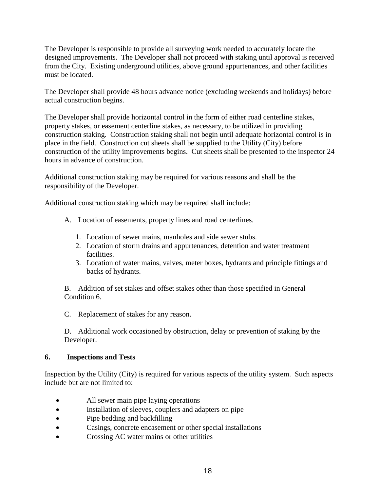The Developer is responsible to provide all surveying work needed to accurately locate the designed improvements. The Developer shall not proceed with staking until approval is received from the City. Existing underground utilities, above ground appurtenances, and other facilities must be located.

The Developer shall provide 48 hours advance notice (excluding weekends and holidays) before actual construction begins.

The Developer shall provide horizontal control in the form of either road centerline stakes, property stakes, or easement centerline stakes, as necessary, to be utilized in providing construction staking. Construction staking shall not begin until adequate horizontal control is in place in the field. Construction cut sheets shall be supplied to the Utility (City) before construction of the utility improvements begins. Cut sheets shall be presented to the inspector 24 hours in advance of construction.

Additional construction staking may be required for various reasons and shall be the responsibility of the Developer.

Additional construction staking which may be required shall include:

- A. Location of easements, property lines and road centerlines.
	- 1. Location of sewer mains, manholes and side sewer stubs.
	- 2. Location of storm drains and appurtenances, detention and water treatment facilities.
	- 3. Location of water mains, valves, meter boxes, hydrants and principle fittings and backs of hydrants.

B. Addition of set stakes and offset stakes other than those specified in General Condition 6.

C. Replacement of stakes for any reason.

D. Additional work occasioned by obstruction, delay or prevention of staking by the Developer.

#### **6. Inspections and Tests**

Inspection by the Utility (City) is required for various aspects of the utility system. Such aspects include but are not limited to:

- All sewer main pipe laying operations
- Installation of sleeves, couplers and adapters on pipe
- Pipe bedding and backfilling
- Casings, concrete encasement or other special installations
- Crossing AC water mains or other utilities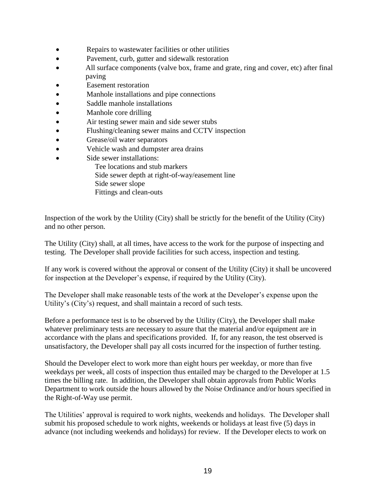- Repairs to wastewater facilities or other utilities
- Pavement, curb, gutter and sidewalk restoration
- All surface components (valve box, frame and grate, ring and cover, etc) after final paving
- Easement restoration
- Manhole installations and pipe connections
- Saddle manhole installations
- Manhole core drilling
- Air testing sewer main and side sewer stubs
- Flushing/cleaning sewer mains and CCTV inspection
- Grease/oil water separators
- Vehicle wash and dumpster area drains
- Side sewer installations:
	- Tee locations and stub markers
	- Side sewer depth at right-of-way/easement line
	- Side sewer slope
	- Fittings and clean-outs

Inspection of the work by the Utility (City) shall be strictly for the benefit of the Utility (City) and no other person.

The Utility (City) shall, at all times, have access to the work for the purpose of inspecting and testing. The Developer shall provide facilities for such access, inspection and testing.

If any work is covered without the approval or consent of the Utility (City) it shall be uncovered for inspection at the Developer's expense, if required by the Utility (City).

The Developer shall make reasonable tests of the work at the Developer's expense upon the Utility's (City's) request, and shall maintain a record of such tests.

Before a performance test is to be observed by the Utility (City), the Developer shall make whatever preliminary tests are necessary to assure that the material and/or equipment are in accordance with the plans and specifications provided. If, for any reason, the test observed is unsatisfactory, the Developer shall pay all costs incurred for the inspection of further testing.

Should the Developer elect to work more than eight hours per weekday, or more than five weekdays per week, all costs of inspection thus entailed may be charged to the Developer at 1.5 times the billing rate. In addition, the Developer shall obtain approvals from Public Works Department to work outside the hours allowed by the Noise Ordinance and/or hours specified in the Right-of-Way use permit.

The Utilities' approval is required to work nights, weekends and holidays. The Developer shall submit his proposed schedule to work nights, weekends or holidays at least five (5) days in advance (not including weekends and holidays) for review. If the Developer elects to work on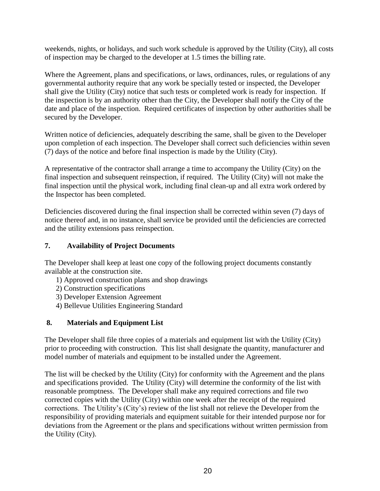weekends, nights, or holidays, and such work schedule is approved by the Utility (City), all costs of inspection may be charged to the developer at 1.5 times the billing rate.

Where the Agreement, plans and specifications, or laws, ordinances, rules, or regulations of any governmental authority require that any work be specially tested or inspected, the Developer shall give the Utility (City) notice that such tests or completed work is ready for inspection. If the inspection is by an authority other than the City, the Developer shall notify the City of the date and place of the inspection. Required certificates of inspection by other authorities shall be secured by the Developer.

Written notice of deficiencies, adequately describing the same, shall be given to the Developer upon completion of each inspection. The Developer shall correct such deficiencies within seven (7) days of the notice and before final inspection is made by the Utility (City).

A representative of the contractor shall arrange a time to accompany the Utility (City) on the final inspection and subsequent reinspection, if required. The Utility (City) will not make the final inspection until the physical work, including final clean-up and all extra work ordered by the Inspector has been completed.

Deficiencies discovered during the final inspection shall be corrected within seven (7) days of notice thereof and, in no instance, shall service be provided until the deficiencies are corrected and the utility extensions pass reinspection.

## **7. Availability of Project Documents**

The Developer shall keep at least one copy of the following project documents constantly available at the construction site.

- 1) Approved construction plans and shop drawings
- 2) Construction specifications
- 3) Developer Extension Agreement
- 4) Bellevue Utilities Engineering Standard

# **8. Materials and Equipment List**

The Developer shall file three copies of a materials and equipment list with the Utility (City) prior to proceeding with construction. This list shall designate the quantity, manufacturer and model number of materials and equipment to be installed under the Agreement.

The list will be checked by the Utility (City) for conformity with the Agreement and the plans and specifications provided. The Utility (City) will determine the conformity of the list with reasonable promptness. The Developer shall make any required corrections and file two corrected copies with the Utility (City) within one week after the receipt of the required corrections. The Utility's (City's) review of the list shall not relieve the Developer from the responsibility of providing materials and equipment suitable for their intended purpose nor for deviations from the Agreement or the plans and specifications without written permission from the Utility (City).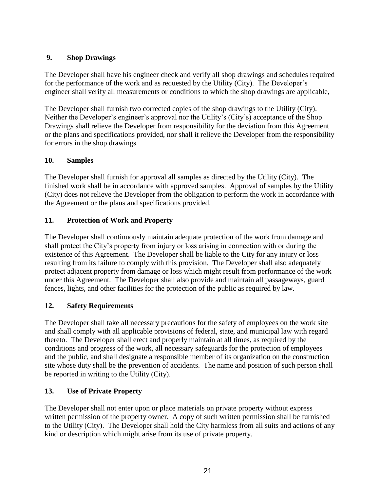# **9. Shop Drawings**

The Developer shall have his engineer check and verify all shop drawings and schedules required for the performance of the work and as requested by the Utility (City). The Developer's engineer shall verify all measurements or conditions to which the shop drawings are applicable,

The Developer shall furnish two corrected copies of the shop drawings to the Utility (City). Neither the Developer's engineer's approval nor the Utility's (City's) acceptance of the Shop Drawings shall relieve the Developer from responsibility for the deviation from this Agreement or the plans and specifications provided, nor shall it relieve the Developer from the responsibility for errors in the shop drawings.

## **10. Samples**

The Developer shall furnish for approval all samples as directed by the Utility (City). The finished work shall be in accordance with approved samples. Approval of samples by the Utility (City) does not relieve the Developer from the obligation to perform the work in accordance with the Agreement or the plans and specifications provided.

# **11. Protection of Work and Property**

The Developer shall continuously maintain adequate protection of the work from damage and shall protect the City's property from injury or loss arising in connection with or during the existence of this Agreement. The Developer shall be liable to the City for any injury or loss resulting from its failure to comply with this provision. The Developer shall also adequately protect adjacent property from damage or loss which might result from performance of the work under this Agreement. The Developer shall also provide and maintain all passageways, guard fences, lights, and other facilities for the protection of the public as required by law.

# **12. Safety Requirements**

The Developer shall take all necessary precautions for the safety of employees on the work site and shall comply with all applicable provisions of federal, state, and municipal law with regard thereto. The Developer shall erect and properly maintain at all times, as required by the conditions and progress of the work, all necessary safeguards for the protection of employees and the public, and shall designate a responsible member of its organization on the construction site whose duty shall be the prevention of accidents. The name and position of such person shall be reported in writing to the Utility (City).

#### **13. Use of Private Property**

The Developer shall not enter upon or place materials on private property without express written permission of the property owner. A copy of such written permission shall be furnished to the Utility (City). The Developer shall hold the City harmless from all suits and actions of any kind or description which might arise from its use of private property.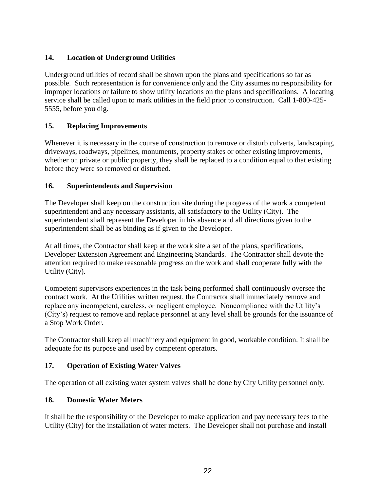# **14. Location of Underground Utilities**

Underground utilities of record shall be shown upon the plans and specifications so far as possible. Such representation is for convenience only and the City assumes no responsibility for improper locations or failure to show utility locations on the plans and specifications. A locating service shall be called upon to mark utilities in the field prior to construction. Call 1-800-425- 5555, before you dig.

# **15. Replacing Improvements**

Whenever it is necessary in the course of construction to remove or disturb culverts, landscaping, driveways, roadways, pipelines, monuments, property stakes or other existing improvements, whether on private or public property, they shall be replaced to a condition equal to that existing before they were so removed or disturbed.

#### **16. Superintendents and Supervision**

The Developer shall keep on the construction site during the progress of the work a competent superintendent and any necessary assistants, all satisfactory to the Utility (City). The superintendent shall represent the Developer in his absence and all directions given to the superintendent shall be as binding as if given to the Developer.

At all times, the Contractor shall keep at the work site a set of the plans, specifications, Developer Extension Agreement and Engineering Standards. The Contractor shall devote the attention required to make reasonable progress on the work and shall cooperate fully with the Utility (City).

Competent supervisors experiences in the task being performed shall continuously oversee the contract work. At the Utilities written request, the Contractor shall immediately remove and replace any incompetent, careless, or negligent employee. Noncompliance with the Utility's (City's) request to remove and replace personnel at any level shall be grounds for the issuance of a Stop Work Order.

The Contractor shall keep all machinery and equipment in good, workable condition. It shall be adequate for its purpose and used by competent operators.

#### **17. Operation of Existing Water Valves**

The operation of all existing water system valves shall be done by City Utility personnel only.

# **18. Domestic Water Meters**

It shall be the responsibility of the Developer to make application and pay necessary fees to the Utility (City) for the installation of water meters. The Developer shall not purchase and install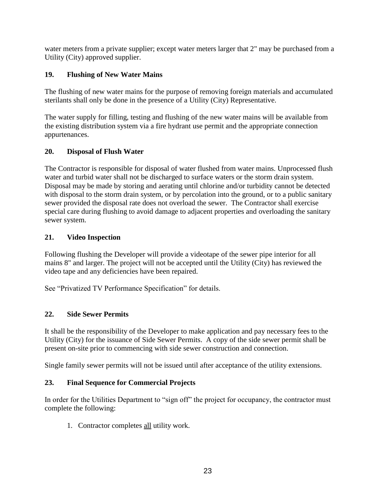water meters from a private supplier; except water meters larger that 2" may be purchased from a Utility (City) approved supplier.

# **19. Flushing of New Water Mains**

The flushing of new water mains for the purpose of removing foreign materials and accumulated sterilants shall only be done in the presence of a Utility (City) Representative.

The water supply for filling, testing and flushing of the new water mains will be available from the existing distribution system via a fire hydrant use permit and the appropriate connection appurtenances.

# **20. Disposal of Flush Water**

The Contractor is responsible for disposal of water flushed from water mains. Unprocessed flush water and turbid water shall not be discharged to surface waters or the storm drain system. Disposal may be made by storing and aerating until chlorine and/or turbidity cannot be detected with disposal to the storm drain system, or by percolation into the ground, or to a public sanitary sewer provided the disposal rate does not overload the sewer. The Contractor shall exercise special care during flushing to avoid damage to adjacent properties and overloading the sanitary sewer system.

# **21. Video Inspection**

Following flushing the Developer will provide a videotape of the sewer pipe interior for all mains 8" and larger. The project will not be accepted until the Utility (City) has reviewed the video tape and any deficiencies have been repaired.

See "Privatized TV Performance Specification" for details.

# **22. Side Sewer Permits**

It shall be the responsibility of the Developer to make application and pay necessary fees to the Utility (City) for the issuance of Side Sewer Permits. A copy of the side sewer permit shall be present on-site prior to commencing with side sewer construction and connection.

Single family sewer permits will not be issued until after acceptance of the utility extensions.

# **23. Final Sequence for Commercial Projects**

In order for the Utilities Department to "sign off" the project for occupancy, the contractor must complete the following:

1. Contractor completes all utility work.